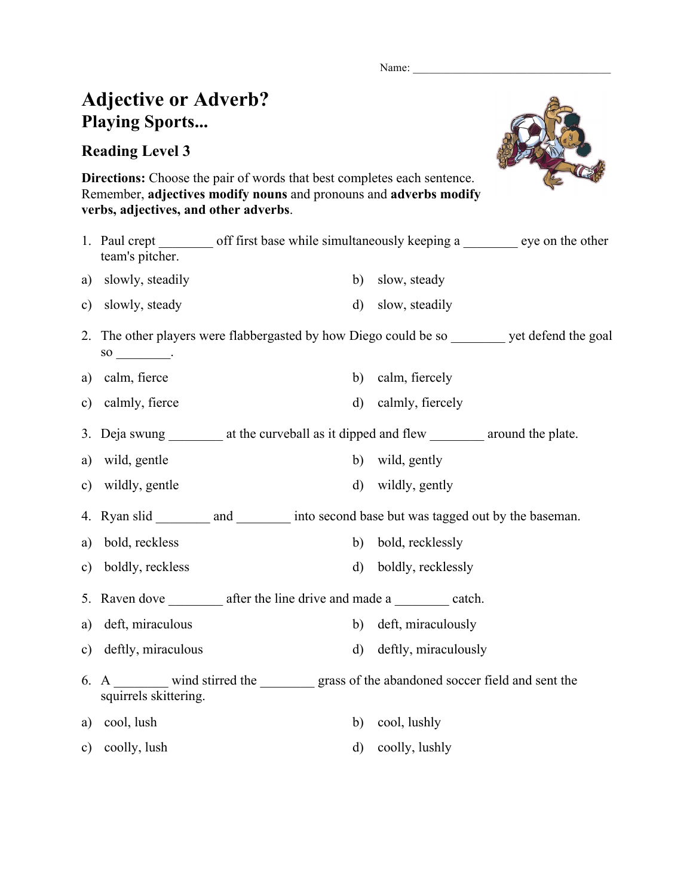Name:

## **Adjective or Adverb? Playing Sports...**

## **Reading Level 3**



**Directions:** Choose the pair of words that best completes each sentence. Remember, **adjectives modify nouns** and pronouns and **adverbs modify verbs, adjectives, and other adverbs**.

|               | team's pitcher.       | 1. Paul crept _________ off first base while simultaneously keeping a _________ eye on the other |                         |  |
|---------------|-----------------------|--------------------------------------------------------------------------------------------------|-------------------------|--|
| a)            | slowly, steadily      | b)                                                                                               | slow, steady            |  |
| $\mathbf{c})$ | slowly, steady        | $\rm d$                                                                                          | slow, steadily          |  |
|               |                       | 2. The other players were flabbergasted by how Diego could be so _________ yet defend the goal   |                         |  |
| a)            | calm, fierce          | b)                                                                                               | calm, fiercely          |  |
| c)            | calmly, fierce        | $\rm d)$                                                                                         | calmly, fiercely        |  |
|               |                       | 3. Deja swung __________ at the curveball as it dipped and flew __________ around the plate.     |                         |  |
| a)            | wild, gentle          | b)                                                                                               | wild, gently            |  |
| $\mathbf{c})$ | wildly, gentle        | d)                                                                                               | wildly, gently          |  |
|               |                       | 4. Ryan slid __________ and _________ into second base but was tagged out by the baseman.        |                         |  |
| a)            | bold, reckless        |                                                                                                  | b) bold, recklessly     |  |
| $\mathbf{c})$ | boldly, reckless      | $\mathbf{d}$                                                                                     | boldly, recklessly      |  |
| 5.            |                       | Raven dove ___________ after the line drive and made a __________ catch.                         |                         |  |
| a)            | deft, miraculous      | b)                                                                                               | deft, miraculously      |  |
| $\mathbf{c})$ | deftly, miraculous    |                                                                                                  | d) deftly, miraculously |  |
| 6.            | squirrels skittering. | A ________ wind stirred the __________ grass of the abandoned soccer field and sent the          |                         |  |
|               | a) cool, lush         | b)                                                                                               | cool, lushly            |  |
|               | c) coolly, lush       | $\rm d)$                                                                                         | coolly, lushly          |  |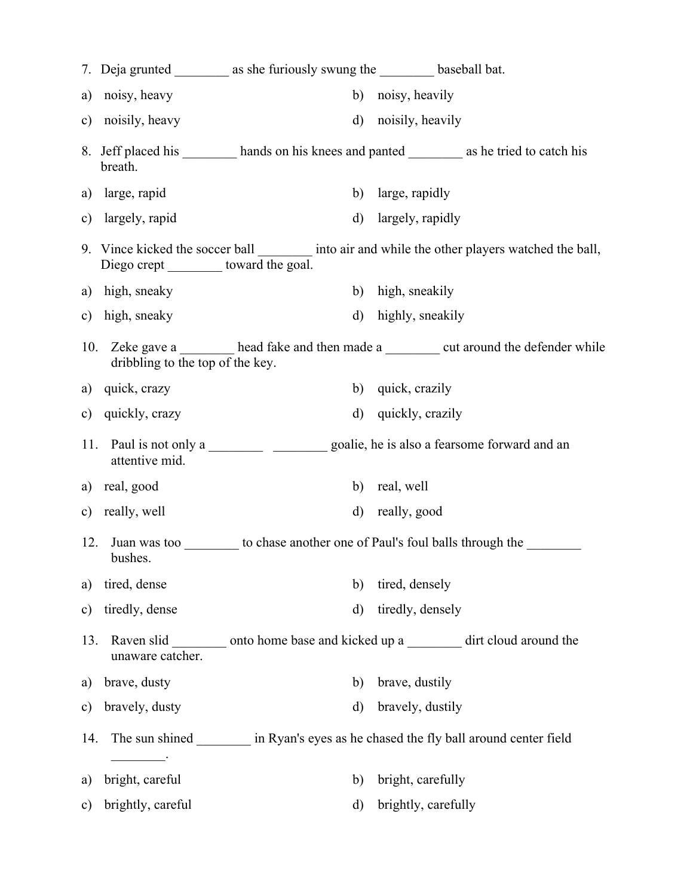|               |                                         | 7. Deja grunted ___________ as she furiously swung the ____________ baseball bat. |                                                                                                  |
|---------------|-----------------------------------------|-----------------------------------------------------------------------------------|--------------------------------------------------------------------------------------------------|
| a)            | noisy, heavy                            | b)                                                                                | noisy, heavily                                                                                   |
| $\mathbf{c})$ | noisily, heavy                          | $\mathbf{d}$                                                                      | noisily, heavily                                                                                 |
|               | breath.                                 |                                                                                   | 8. Jeff placed his __________ hands on his knees and panted ___________ as he tried to catch his |
|               | a) large, rapid                         |                                                                                   | b) large, rapidly                                                                                |
| $\mathbf{c})$ | largely, rapid                          | $\mathbf{d}$                                                                      | largely, rapidly                                                                                 |
|               | Diego crept __________ toward the goal. |                                                                                   | 9. Vince kicked the soccer ball _________ into air and while the other players watched the ball, |
|               | a) high, sneaky                         | b)                                                                                | high, sneakily                                                                                   |
| $\mathbf{c})$ | high, sneaky                            | $\mathbf{d}$                                                                      | highly, sneakily                                                                                 |
|               | dribbling to the top of the key.        |                                                                                   | 10. Zeke gave a head fake and then made a well around the defender while                         |
|               | a) quick, crazy                         | b)                                                                                | quick, crazily                                                                                   |
|               | c) quickly, crazy                       | $\rm d$                                                                           | quickly, crazily                                                                                 |
| 11.           | attentive mid.                          |                                                                                   |                                                                                                  |
| a)            | real, good                              | b)                                                                                | real, well                                                                                       |
|               | c) really, well                         | d)                                                                                | really, good                                                                                     |
| 12.           | bushes.                                 |                                                                                   | Juan was too to chase another one of Paul's foul balls through the                               |
| a)            | tired, dense                            | b)                                                                                | tired, densely                                                                                   |
| $\mathbf{c})$ | tiredly, dense                          | d)                                                                                | tiredly, densely                                                                                 |
| 13.           | unaware catcher.                        |                                                                                   | Raven slid _________ onto home base and kicked up a _________ dirt cloud around the              |
| a)            | brave, dusty                            | b)                                                                                | brave, dustily                                                                                   |
| $\mathbf{c})$ | bravely, dusty                          | $\mathbf{d}$                                                                      | bravely, dustily                                                                                 |
| 14.           |                                         |                                                                                   | The sun shined in Ryan's eyes as he chased the fly ball around center field                      |
| a)            | bright, careful                         | b)                                                                                | bright, carefully                                                                                |
| $\mathbf{c})$ | brightly, careful                       | $\mathbf{d}$                                                                      | brightly, carefully                                                                              |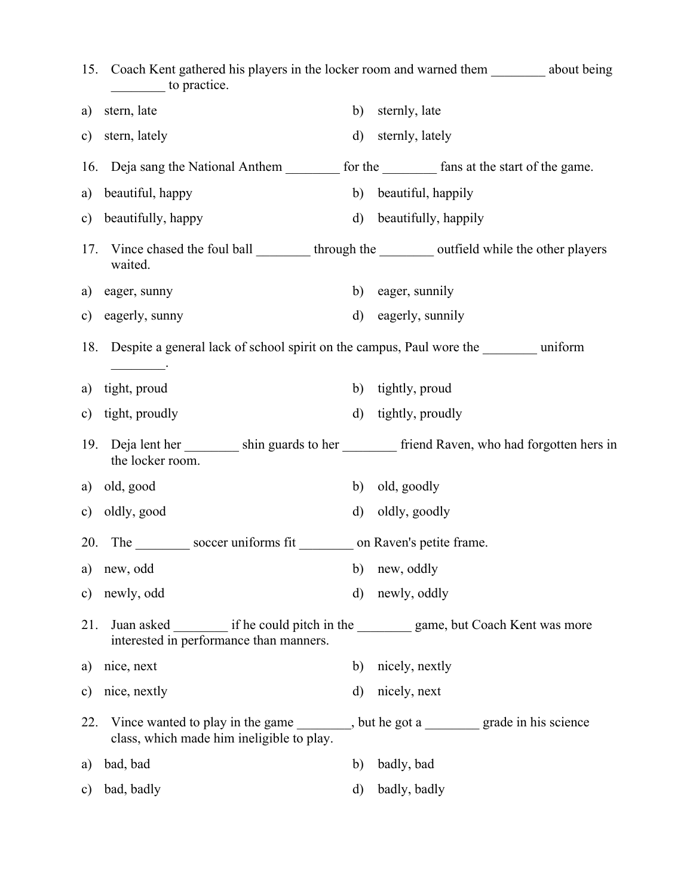|               | to practice.                                                                              |              | 15. Coach Kent gathered his players in the locker room and warned them _________ about being    |
|---------------|-------------------------------------------------------------------------------------------|--------------|-------------------------------------------------------------------------------------------------|
| a)            | stern, late                                                                               | b)           | sternly, late                                                                                   |
| $\mathbf{c})$ | stern, lately                                                                             | $\mathbf{d}$ | sternly, lately                                                                                 |
|               |                                                                                           |              | 16. Deja sang the National Anthem _________ for the _________ fans at the start of the game.    |
| a)            | beautiful, happy                                                                          | b)           | beautiful, happily                                                                              |
|               | c) beautifully, happy                                                                     | $\mathbf{d}$ | beautifully, happily                                                                            |
| 17.           | waited.                                                                                   |              | Vince chased the foul ball __________ through the __________ outfield while the other players   |
| a)            | eager, sunny                                                                              | b)           | eager, sunnily                                                                                  |
| $\mathbf{c})$ | eagerly, sunny                                                                            | $\mathbf{d}$ | eagerly, sunnily                                                                                |
|               | 18. Despite a general lack of school spirit on the campus, Paul wore the ________ uniform |              |                                                                                                 |
| a)            | tight, proud                                                                              | b)           | tightly, proud                                                                                  |
| $\mathbf{c})$ | tight, proudly                                                                            | $\mathbf{d}$ | tightly, proudly                                                                                |
| 19.           | the locker room.                                                                          |              | Deja lent her solution of the shin guards to her series friend Raven, who had forgotten hers in |
| a)            | old, good                                                                                 | b)           | old, goodly                                                                                     |
|               | c) oldly, good                                                                            | $\mathbf{d}$ | oldly, goodly                                                                                   |
| 20.           | The soccer uniforms fit ________ on Raven's petite frame.                                 |              |                                                                                                 |
| a)            | new, odd<br>b) new, oddly                                                                 |              |                                                                                                 |
| $\mathbf{c})$ | newly, odd                                                                                | $\mathbf{d}$ | newly, oddly                                                                                    |
| 21.           | interested in performance than manners.                                                   |              | Juan asked __________ if he could pitch in the __________ game, but Coach Kent was more         |
| a)            | nice, next                                                                                | b)           | nicely, nextly                                                                                  |
| $\mathbf{c})$ | nice, nextly                                                                              | $\mathbf{d}$ | nicely, next                                                                                    |
| 22.           | class, which made him ineligible to play.                                                 |              | Vince wanted to play in the game ________, but he got a ________ grade in his science           |
| a)            | bad, bad                                                                                  | b)           | badly, bad                                                                                      |
| $\mathbf{c})$ | bad, badly                                                                                | $\mathbf{d}$ | badly, badly                                                                                    |